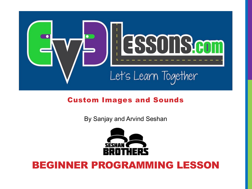

#### Custom Images and Sounds

By Sanjay and Arvind Seshan



### BEGINNER PROGRAMMING LESSON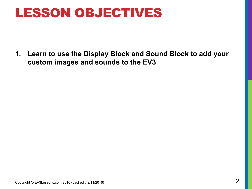### LESSON OBJECTIVES

**1. Learn to use the Display Block and Sound Block to add your custom images and sounds to the EV3**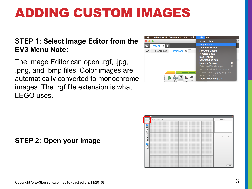#### **STEP 1: Select Image Editor from the EV3 Menu Note:**

The Image Editor can open .rgf, .jpg, .png, and .bmp files. Color images are automatically converted to monochrome images. The .rgf file extension is what LEGO uses.





#### **STEP 2: Open your image**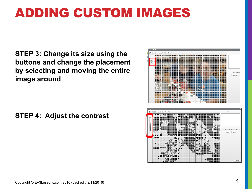**STEP 3: Change its size using the buttons and change the placement by selecting and moving the entire image around**

**STEP 4: Adjust the contrast**



Close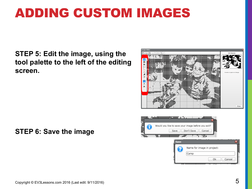#### **STEP 5: Edit the image, using the tool palette to the left of the editing screen.**



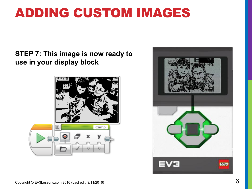#### **STEP 7: This image is now ready to use in your display block**



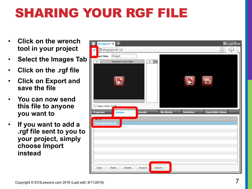# SHARING YOUR RGF FILE

- **Click on the wrench tool in your project**
- **Select the Images Tab**
- **Click on the .rgf file**
- **Click on Export and save the file**
- **You can now send this file to anyone you want to**
- **If you want to add a .rgf file sent to you to your project, simply choose Import instead**

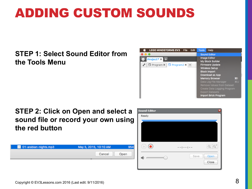# ADDING CUSTOM SOUNDS

#### **STEP 1: Select Sound Editor from the Tools Menu**



#### **STEP 2: Click on Open and select a sound file or record your own using the red button**

| <b>D</b> 01-arabian-nights.mp3 | May 5, 2015, 10:10 AM | 954  |
|--------------------------------|-----------------------|------|
|                                | Cancel                | Open |
|                                |                       |      |

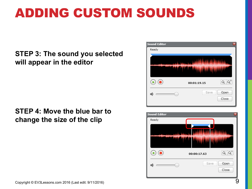# ADDING CUSTOM SOUNDS

#### **STEP 3: The sound you selected will appear in the editor**

#### **STEP 4: Move the blue bar to change the size of the clip**



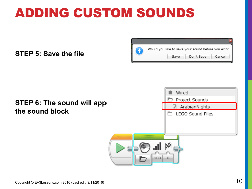# ADDING CUSTOM SOUNDS

**STEP 5: Save the file**



#### **STEP 6: The sound will appent the sound block**